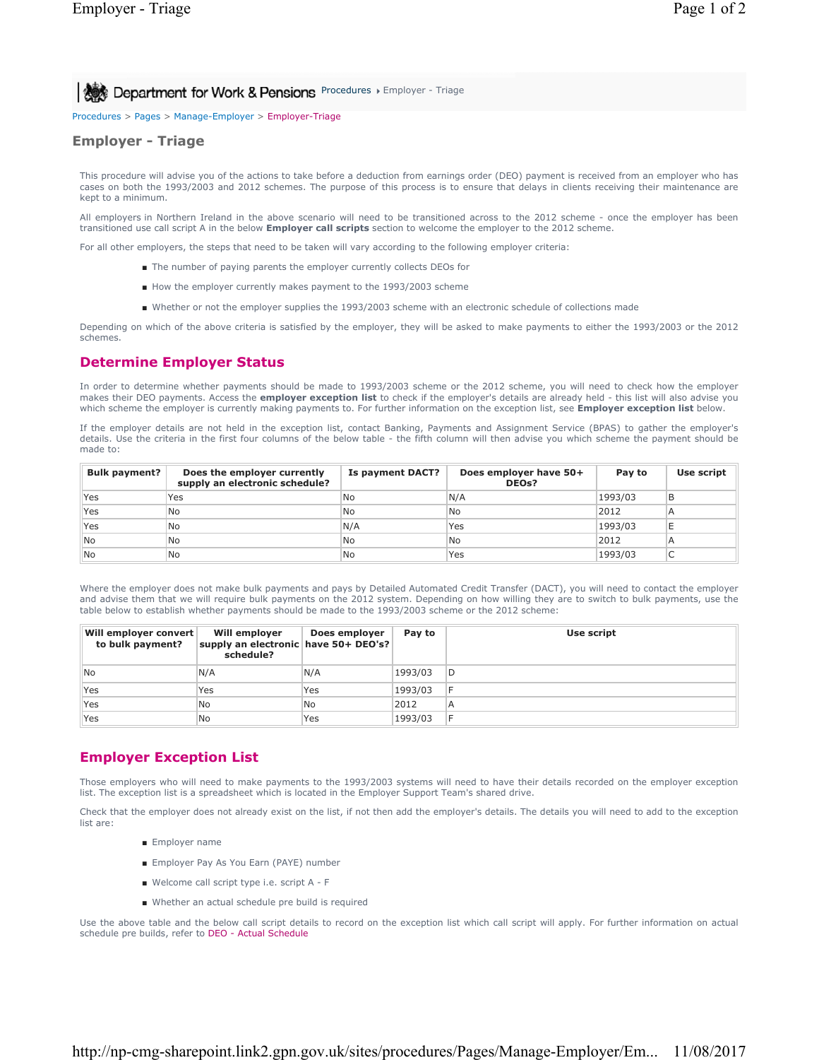**Procedures > Employer - Triage Department for Work & Pensions** Procedures > Employer - Triage

Procedures > Pages > Manage-Employer > Employer-Triage

## **Employer - Triage**

This procedure will advise you of the actions to take before a deduction from earnings order (DEO) payment is received from an employer who has cases on both the 1993/2003 and 2012 schemes. The purpose of this process is to ensure that delays in clients receiving their maintenance are kept to a minimum.

All employers in Northern Ireland in the above scenario will need to be transitioned across to the 2012 scheme - once the employer has been transitioned use call script A in the below **Employer call scripts** section to welcome the employer to the 2012 scheme.

For all other employers, the steps that need to be taken will vary according to the following employer criteria:

- The number of paying parents the employer currently collects DEOs for
- How the employer currently makes payment to the 1993/2003 scheme
- Whether or not the employer supplies the 1993/2003 scheme with an electronic schedule of collections made

Depending on which of the above criteria is satisfied by the employer, they will be asked to make payments to either the 1993/2003 or the 2012 schemes.

### **Determine Employer Status**

In order to determine whether payments should be made to 1993/2003 scheme or the 2012 scheme, you will need to check how the employer makes their DEO payments. Access the **employer exception list** to check if the employer's details are already held - this list will also advise you which scheme the employer is currently making payments to. For further information on the exception list, see **Employer exception list** below.

If the employer details are not held in the exception list, contact Banking, Payments and Assignment Service (BPAS) to gather the employer's details. Use the criteria in the first four columns of the below table - the fifth column will then advise you which scheme the payment should be made to:

| <b>Bulk payment?</b> | Does the employer currently<br>supply an electronic schedule? | Is payment DACT? | Does employer have 50+<br><b>DEOs?</b> | Pay to  | Use script |
|----------------------|---------------------------------------------------------------|------------------|----------------------------------------|---------|------------|
| Yes                  | Yes                                                           | No               | N/A                                    | 1993/03 |            |
| Yes                  | <b>No</b>                                                     | No               | lNo                                    | 2012    |            |
| Yes                  | <b>No</b>                                                     | N/A              | Yes                                    | 1993/03 |            |
| <b>No</b>            | <b>No</b>                                                     | No               | No.                                    | 2012    |            |
| <b>No</b>            | No                                                            | No               | Yes                                    | 1993/03 |            |

Where the employer does not make bulk payments and pays by Detailed Automated Credit Transfer (DACT), you will need to contact the employer and advise them that we will require bulk payments on the 2012 system. Depending on how willing they are to switch to bulk payments, use the table below to establish whether payments should be made to the 1993/2003 scheme or the 2012 scheme:

| Will employer convert<br>to bulk payment? | Will employer<br>supply an electronic have 50+ DEO's?<br>schedule? | Does employer | Pay to  | Use script |
|-------------------------------------------|--------------------------------------------------------------------|---------------|---------|------------|
| <b>No</b>                                 | N/A                                                                | N/A           | 1993/03 | D          |
| Yes                                       | Yes                                                                | Yes           | 1993/03 | F          |
| Yes                                       | lNo                                                                | No            | 2012    | Α          |
| Yes                                       | No                                                                 | Yes           | 1993/03 | E          |

#### **Employer Exception List**

Those employers who will need to make payments to the 1993/2003 systems will need to have their details recorded on the employer exception list. The exception list is a spreadsheet which is located in the Employer Support Team's shared drive.

Check that the employer does not already exist on the list, if not then add the employer's details. The details you will need to add to the exception list are:

- Employer name
- Employer Pay As You Earn (PAYE) number
- Welcome call script type i.e. script A F
- Whether an actual schedule pre build is required

Use the above table and the below call script details to record on the exception list which call script will apply. For further information on actual schedule pre builds, refer to DEO - Actual Schedule